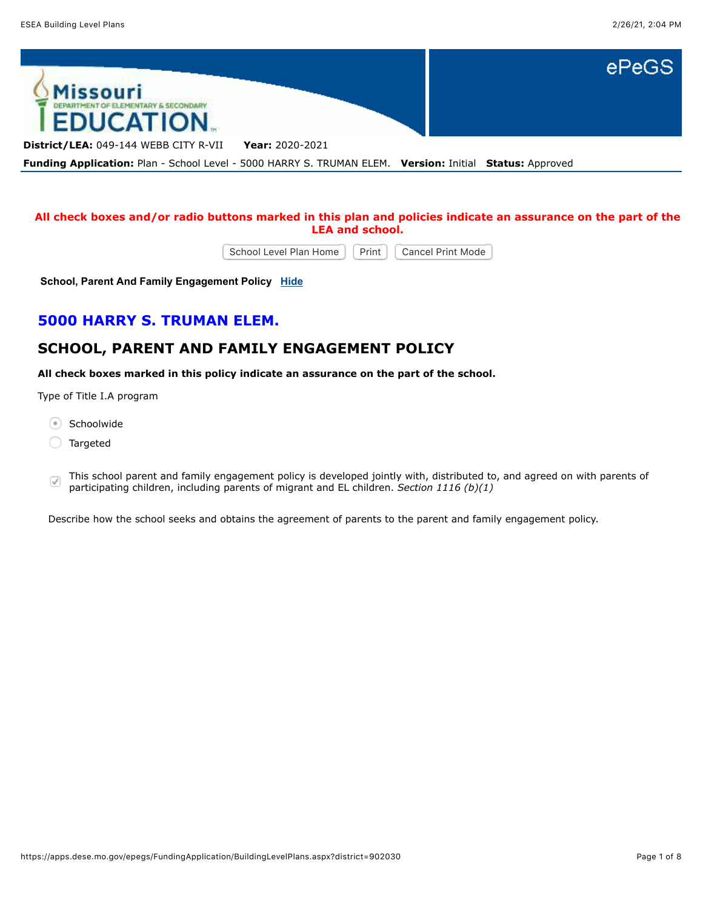

## **All check boxes and/or radio buttons marked in this plan and policies indicate an assurance on the part of the LEA and school.**

School Level Plan Home | Print | Cancel Print Mode

**School, Parent And Family Engagement Policy [Hide](javascript:__doPostBack()**

# **5000 HARRY S. TRUMAN ELEM.**

# **SCHOOL, PARENT AND FAMILY ENGAGEMENT POLICY**

**All check boxes marked in this policy indicate an assurance on the part of the school.**

Type of Title I.A program

- Schoolwide
- Targeted
- This school parent and family engagement policy is developed jointly with, distributed to, and agreed on with parents of  $\sqrt{}$ participating children, including parents of migrant and EL children. *Section 1116 (b)(1)*

Describe how the school seeks and obtains the agreement of parents to the parent and family engagement policy.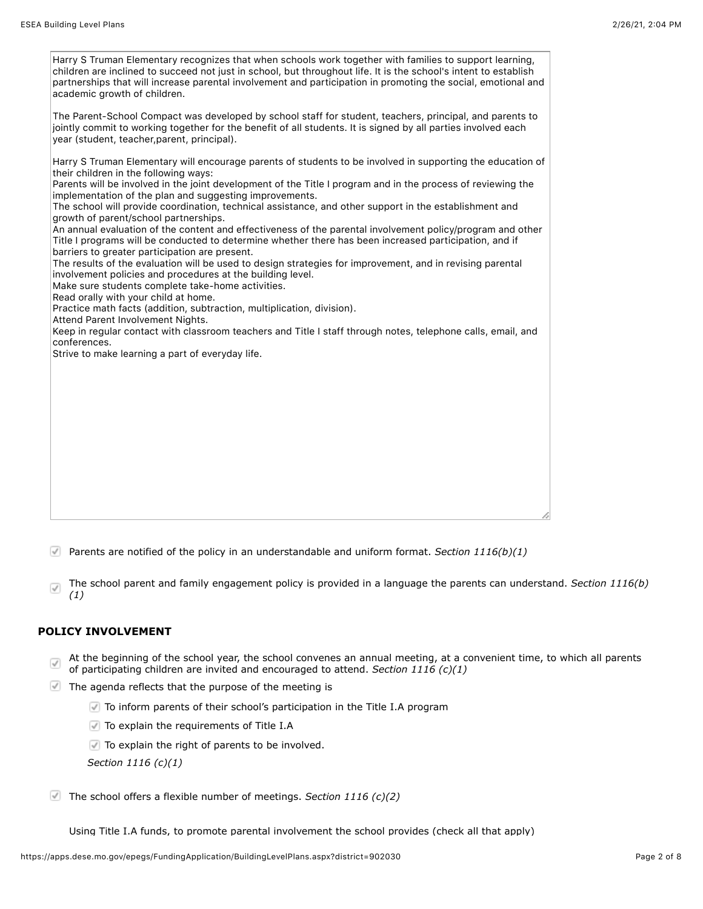| Harry S Truman Elementary recognizes that when schools work together with families to support learning,<br>children are inclined to succeed not just in school, but throughout life. It is the school's intent to establish<br>partnerships that will increase parental involvement and participation in promoting the social, emotional and<br>academic growth of children.                                                             |
|------------------------------------------------------------------------------------------------------------------------------------------------------------------------------------------------------------------------------------------------------------------------------------------------------------------------------------------------------------------------------------------------------------------------------------------|
| The Parent-School Compact was developed by school staff for student, teachers, principal, and parents to<br>jointly commit to working together for the benefit of all students. It is signed by all parties involved each<br>year (student, teacher, parent, principal).                                                                                                                                                                 |
| Harry S Truman Elementary will encourage parents of students to be involved in supporting the education of<br>their children in the following ways:<br>Parents will be involved in the joint development of the Title I program and in the process of reviewing the<br>implementation of the plan and suggesting improvements.<br>The school will provide coordination, technical assistance, and other support in the establishment and |
| growth of parent/school partnerships.<br>An annual evaluation of the content and effectiveness of the parental involvement policy/program and other<br>Title I programs will be conducted to determine whether there has been increased participation, and if<br>barriers to greater participation are present.<br>The results of the evaluation will be used to design strategies for improvement, and in revising parental             |
| involvement policies and procedures at the building level.<br>Make sure students complete take-home activities.<br>Read orally with your child at home.<br>Practice math facts (addition, subtraction, multiplication, division).                                                                                                                                                                                                        |
| Attend Parent Involvement Nights.<br>Keep in regular contact with classroom teachers and Title I staff through notes, telephone calls, email, and<br>conferences.<br>Strive to make learning a part of everyday life.                                                                                                                                                                                                                    |
|                                                                                                                                                                                                                                                                                                                                                                                                                                          |
|                                                                                                                                                                                                                                                                                                                                                                                                                                          |
|                                                                                                                                                                                                                                                                                                                                                                                                                                          |
|                                                                                                                                                                                                                                                                                                                                                                                                                                          |

- Parents are notified of the policy in an understandable and uniform format. *Section 1116(b)(1)*
- The school parent and family engagement policy is provided in a language the parents can understand. *Section 1116(b)*  $\overline{\checkmark}$ *(1)*

## **POLICY INVOLVEMENT**

- At the beginning of the school year, the school convenes an annual meeting, at a convenient time, to which all parents  $\overline{\checkmark}$ of participating children are invited and encouraged to attend. *Section 1116 (c)(1)*
- $\blacksquare$  The agenda reflects that the purpose of the meeting is
	- To inform parents of their school's participation in the Title I.A program
	- To explain the requirements of Title I.A
	- $\Box$  To explain the right of parents to be involved.

*Section 1116 (c)(1)*

The school offers a flexible number of meetings. *Section 1116 (c)(2)*

Using Title I.A funds, to promote parental involvement the school provides (check all that apply)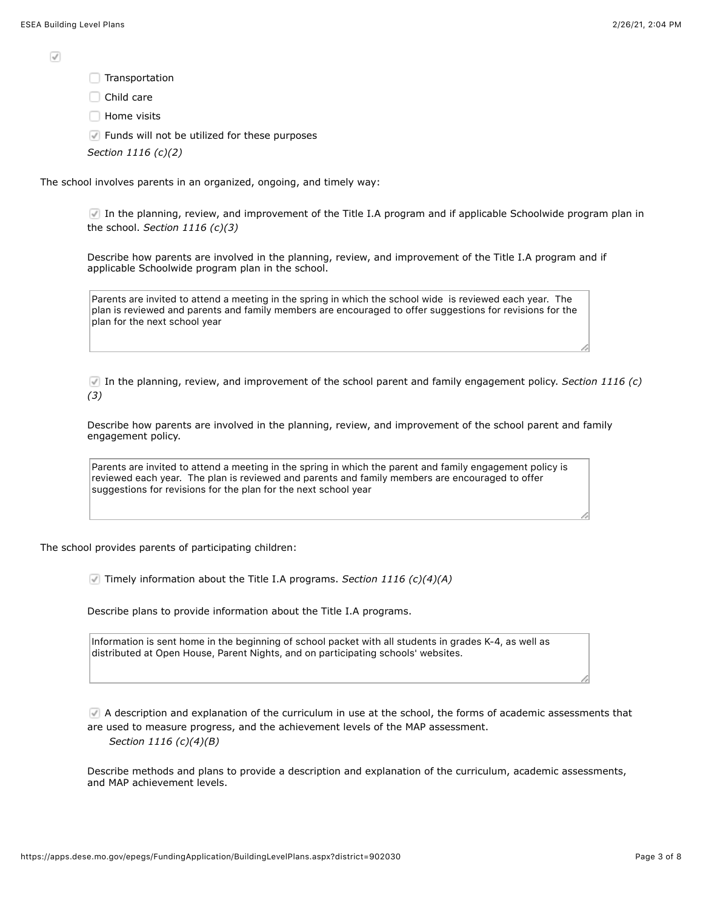$\sqrt{}$ 

Transportation

Child care

 $\Box$  Home visits

 $\sqrt{ }$  Funds will not be utilized for these purposes

*Section 1116 (c)(2)*

The school involves parents in an organized, ongoing, and timely way:

In the planning, review, and improvement of the Title I.A program and if applicable Schoolwide program plan in the school. *Section 1116 (c)(3)*

Describe how parents are involved in the planning, review, and improvement of the Title I.A program and if applicable Schoolwide program plan in the school.

Parents are invited to attend a meeting in the spring in which the school wide is reviewed each year. The plan is reviewed and parents and family members are encouraged to offer suggestions for revisions for the plan for the next school year

In the planning, review, and improvement of the school parent and family engagement policy. *Section 1116 (c) (3)*

Describe how parents are involved in the planning, review, and improvement of the school parent and family engagement policy.

Parents are invited to attend a meeting in the spring in which the parent and family engagement policy is reviewed each year. The plan is reviewed and parents and family members are encouraged to offer suggestions for revisions for the plan for the next school year

The school provides parents of participating children:

Timely information about the Title I.A programs. *Section 1116 (c)(4)(A)*

Describe plans to provide information about the Title I.A programs.

Information is sent home in the beginning of school packet with all students in grades K-4, as well as distributed at Open House, Parent Nights, and on participating schools' websites.

A description and explanation of the curriculum in use at the school, the forms of academic assessments that are used to measure progress, and the achievement levels of the MAP assessment. *Section 1116 (c)(4)(B)*

Describe methods and plans to provide a description and explanation of the curriculum, academic assessments, and MAP achievement levels.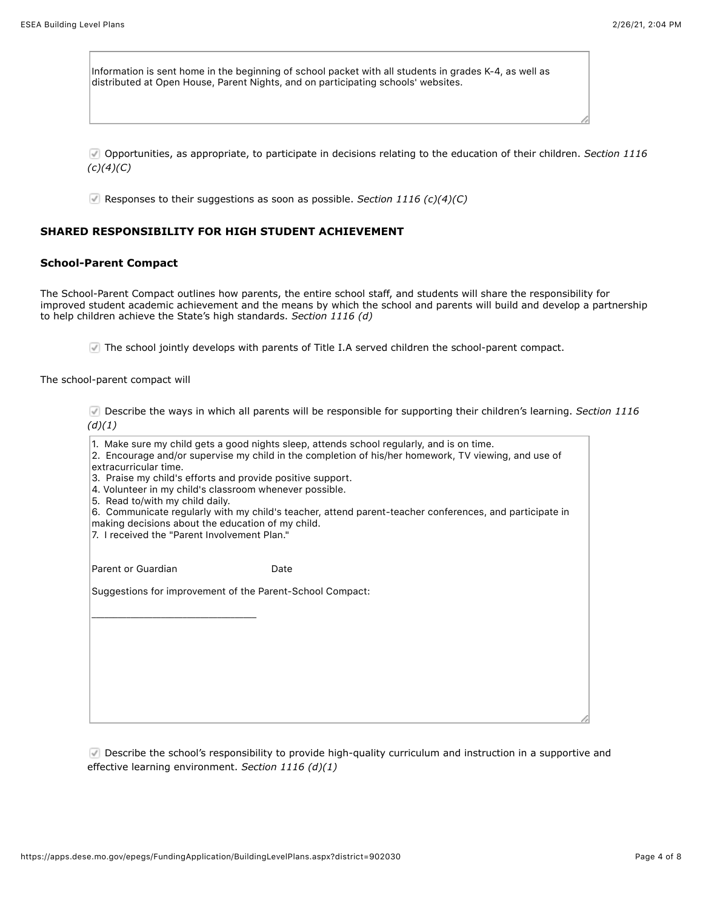Information is sent home in the beginning of school packet with all students in grades K-4, as well as distributed at Open House, Parent Nights, and on participating schools' websites.

Opportunities, as appropriate, to participate in decisions relating to the education of their children. *Section 1116 (c)(4)(C)*

Responses to their suggestions as soon as possible. *Section 1116 (c)(4)(C)*

### **SHARED RESPONSIBILITY FOR HIGH STUDENT ACHIEVEMENT**

### **School-Parent Compact**

The School-Parent Compact outlines how parents, the entire school staff, and students will share the responsibility for improved student academic achievement and the means by which the school and parents will build and develop a partnership to help children achieve the State's high standards. *Section 1116 (d)*

The school jointly develops with parents of Title I.A served children the school-parent compact.

The school-parent compact will

Describe the ways in which all parents will be responsible for supporting their children's learning. *Section 1116 (d)(1)*

| extracurricular time.<br>3. Praise my child's efforts and provide positive support.<br>4. Volunteer in my child's classroom whenever possible.<br>5. Read to/with my child daily. | 1. Make sure my child gets a good nights sleep, attends school regularly, and is on time.<br>2. Encourage and/or supervise my child in the completion of his/her homework, TV viewing, and use of |
|-----------------------------------------------------------------------------------------------------------------------------------------------------------------------------------|---------------------------------------------------------------------------------------------------------------------------------------------------------------------------------------------------|
|                                                                                                                                                                                   | 6. Communicate regularly with my child's teacher, attend parent-teacher conferences, and participate in                                                                                           |
| making decisions about the education of my child.<br>7. I received the "Parent Involvement Plan."                                                                                 |                                                                                                                                                                                                   |
|                                                                                                                                                                                   |                                                                                                                                                                                                   |
| Parent or Guardian                                                                                                                                                                | Date                                                                                                                                                                                              |
|                                                                                                                                                                                   |                                                                                                                                                                                                   |
| Suggestions for improvement of the Parent-School Compact:                                                                                                                         |                                                                                                                                                                                                   |
|                                                                                                                                                                                   |                                                                                                                                                                                                   |
|                                                                                                                                                                                   |                                                                                                                                                                                                   |
|                                                                                                                                                                                   |                                                                                                                                                                                                   |
|                                                                                                                                                                                   |                                                                                                                                                                                                   |
|                                                                                                                                                                                   |                                                                                                                                                                                                   |
|                                                                                                                                                                                   |                                                                                                                                                                                                   |
|                                                                                                                                                                                   |                                                                                                                                                                                                   |
|                                                                                                                                                                                   |                                                                                                                                                                                                   |
|                                                                                                                                                                                   |                                                                                                                                                                                                   |

Describe the school's responsibility to provide high-quality curriculum and instruction in a supportive and effective learning environment. *Section 1116 (d)(1)*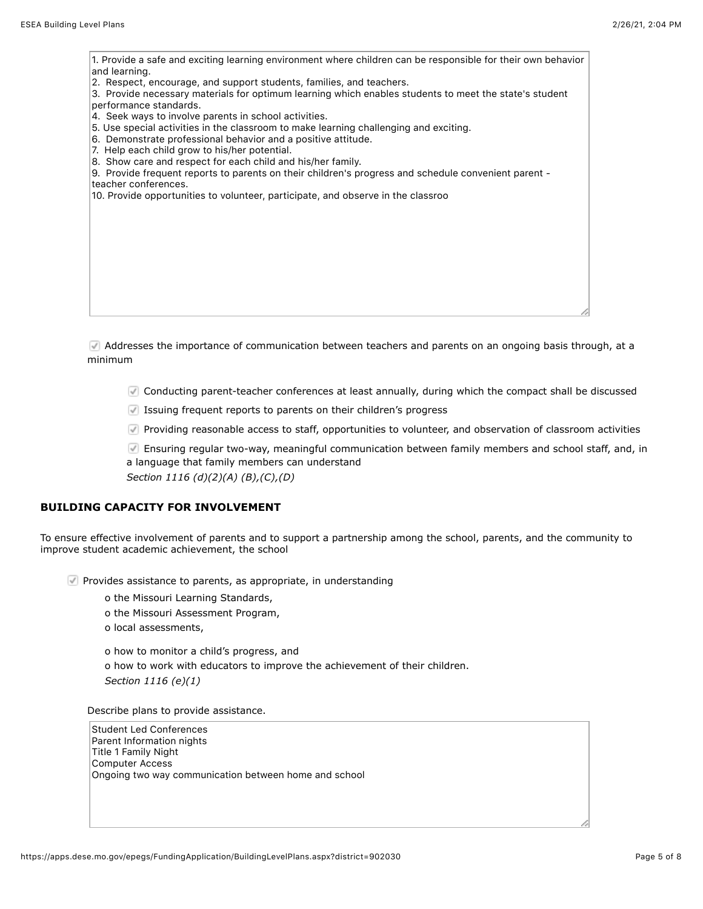| 1. Provide a safe and exciting learning environment where children can be responsible for their own behavior<br>and learning.                                                                            |  |
|----------------------------------------------------------------------------------------------------------------------------------------------------------------------------------------------------------|--|
| 2. Respect, encourage, and support students, families, and teachers.<br>3. Provide necessary materials for optimum learning which enables students to meet the state's student<br>performance standards. |  |
| 4. Seek ways to involve parents in school activities.                                                                                                                                                    |  |
| 5. Use special activities in the classroom to make learning challenging and exciting.<br>6. Demonstrate professional behavior and a positive attitude.                                                   |  |
| 7. Help each child grow to his/her potential.<br>8. Show care and respect for each child and his/her family.                                                                                             |  |
| 9. Provide frequent reports to parents on their children's progress and schedule convenient parent -                                                                                                     |  |
| teacher conferences.                                                                                                                                                                                     |  |
| 10. Provide opportunities to volunteer, participate, and observe in the classroo                                                                                                                         |  |
|                                                                                                                                                                                                          |  |
|                                                                                                                                                                                                          |  |
|                                                                                                                                                                                                          |  |
|                                                                                                                                                                                                          |  |
|                                                                                                                                                                                                          |  |
|                                                                                                                                                                                                          |  |
|                                                                                                                                                                                                          |  |
|                                                                                                                                                                                                          |  |
|                                                                                                                                                                                                          |  |
|                                                                                                                                                                                                          |  |

Addresses the importance of communication between teachers and parents on an ongoing basis through, at a minimum

Conducting parent-teacher conferences at least annually, during which the compact shall be discussed

Issuing frequent reports to parents on their children's progress

Providing reasonable access to staff, opportunities to volunteer, and observation of classroom activities

Ensuring regular two-way, meaningful communication between family members and school staff, and, in a language that family members can understand

*Section 1116 (d)(2)(A) (B),(C),(D)*

## **BUILDING CAPACITY FOR INVOLVEMENT**

To ensure effective involvement of parents and to support a partnership among the school, parents, and the community to improve student academic achievement, the school

 $\blacksquare$  Provides assistance to parents, as appropriate, in understanding

o the Missouri Learning Standards,

- o the Missouri Assessment Program,
- o local assessments,

o how to monitor a child's progress, and o how to work with educators to improve the achievement of their children. *Section 1116 (e)(1)*

Describe plans to provide assistance.

Student Led Conferences Parent Information nights Title 1 Family Night Computer Access Ongoing two way communication between home and school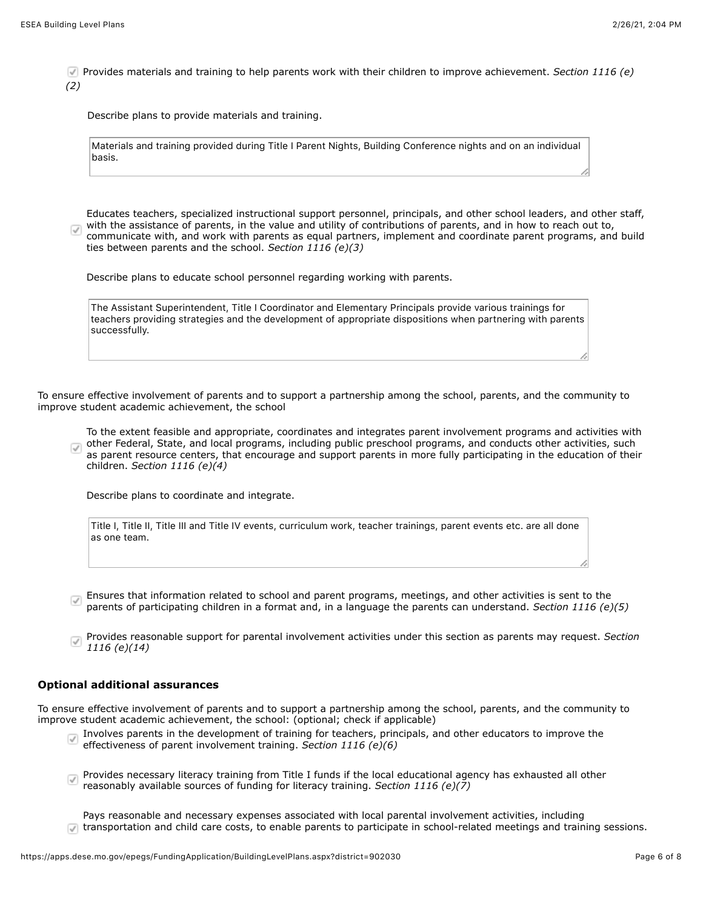Provides materials and training to help parents work with their children to improve achievement. *Section 1116 (e) (2)*

Describe plans to provide materials and training.

|        | Materials and training provided during Title I Parent Nights, Building Conference nights and on an individual |  |  |  |  |
|--------|---------------------------------------------------------------------------------------------------------------|--|--|--|--|
| basis. |                                                                                                               |  |  |  |  |

Educates teachers, specialized instructional support personnel, principals, and other school leaders, and other staff, with the assistance of parents, in the value and utility of contributions of parents, and in how to reach out to,  $\overline{\mathcal{A}}$ communicate with, and work with parents as equal partners, implement and coordinate parent programs, and build ties between parents and the school. *Section 1116 (e)(3)*

Describe plans to educate school personnel regarding working with parents.

| The Assistant Superintendent. Title I Coordinator and Elementary Principals provide various trainings for  |
|------------------------------------------------------------------------------------------------------------|
| teachers providing strategies and the development of appropriate dispositions when partnering with parents |
| successfully.                                                                                              |

To ensure effective involvement of parents and to support a partnership among the school, parents, and the community to improve student academic achievement, the school

To the extent feasible and appropriate, coordinates and integrates parent involvement programs and activities with other Federal, State, and local programs, including public preschool programs, and conducts other activities, such  $\sqrt{ }$ as parent resource centers, that encourage and support parents in more fully participating in the education of their children. *Section 1116 (e)(4)*

Describe plans to coordinate and integrate.

| Title I, Title II, Title III and Title IV events, curriculum work, teacher trainings, parent events etc. are all done |  |  |  |  |  |  |  |
|-----------------------------------------------------------------------------------------------------------------------|--|--|--|--|--|--|--|
| as one team.                                                                                                          |  |  |  |  |  |  |  |

Ensures that information related to school and parent programs, meetings, and other activities is sent to the parents of participating children in a format and, in a language the parents can understand. *Section 1116 (e)(5)*

Provides reasonable support for parental involvement activities under this section as parents may request. *Section*  $\overline{J}$ *1116 (e)(14)*

#### **Optional additional assurances**

To ensure effective involvement of parents and to support a partnership among the school, parents, and the community to improve student academic achievement, the school: (optional; check if applicable)

- Involves parents in the development of training for teachers, principals, and other educators to improve the effectiveness of parent involvement training. *Section 1116 (e)(6)*
- Provides necessary literacy training from Title I funds if the local educational agency has exhausted all other  $\sqrt{ }$ reasonably available sources of funding for literacy training. *Section 1116 (e)(7)*
- Pays reasonable and necessary expenses associated with local parental involvement activities, including In transportation and child care costs, to enable parents to participate in school-related meetings and training sessions.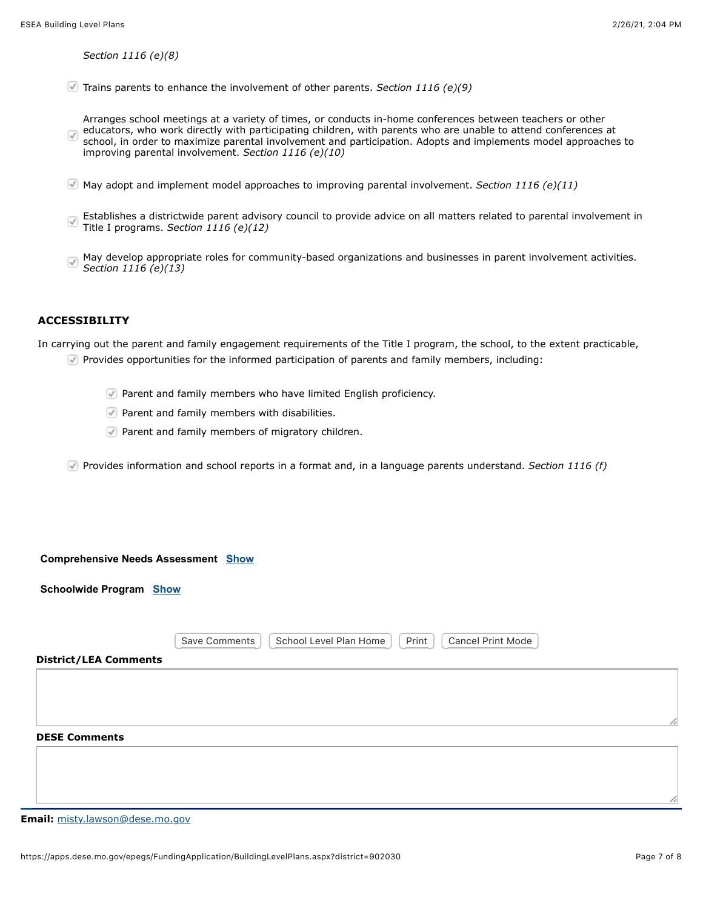*Section 1116 (e)(8)*

Trains parents to enhance the involvement of other parents. *Section 1116 (e)(9)*

Arranges school meetings at a variety of times, or conducts in-home conferences between teachers or other educators, who work directly with participating children, with parents who are unable to attend conferences at  $\sqrt{}$ school, in order to maximize parental involvement and participation. Adopts and implements model approaches to improving parental involvement. *Section 1116 (e)(10)*

- May adopt and implement model approaches to improving parental involvement. *Section 1116 (e)(11)*
- Establishes a districtwide parent advisory council to provide advice on all matters related to parental involvement in  $\overline{\mathsf{v}'}$ Title I programs. *Section 1116 (e)(12)*
- May develop appropriate roles for community-based organizations and businesses in parent involvement activities.  $\overline{\mathcal{J}}$ *Section 1116 (e)(13)*

### **ACCESSIBILITY**

In carrying out the parent and family engagement requirements of the Title I program, the school, to the extent practicable,

- Provides opportunities for the informed participation of parents and family members, including:
	- **Parent and family members who have limited English proficiency.**
	- $\nabla$  Parent and family members with disabilities.
	- **Parent and family members of migratory children.**
- Provides information and school reports in a format and, in a language parents understand. *Section 1116 (f)*

#### **Comprehensive Needs Assessment [Show](javascript:__doPostBack()**

**Schoolwide Program [Show](javascript:__doPostBack()**

|                              | School Level Plan Home<br>Print<br><b>Cancel Print Mode</b><br>Save Comments |  |
|------------------------------|------------------------------------------------------------------------------|--|
| <b>District/LEA Comments</b> |                                                                              |  |
|                              |                                                                              |  |
|                              |                                                                              |  |
|                              |                                                                              |  |
| <b>DESE Comments</b>         |                                                                              |  |
|                              |                                                                              |  |
|                              |                                                                              |  |

**Email:** [misty.lawson@dese.mo.gov](mailto:misty.lawson@dese.mo.gov)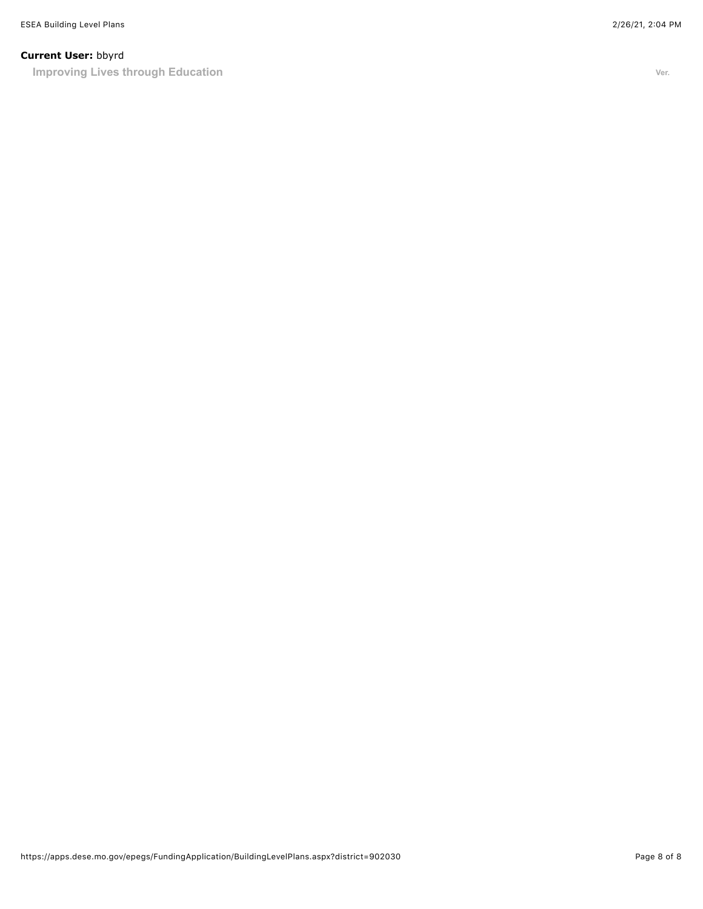## **Current User:** bbyrd

**Improving Lives through Education Ver.** *Ver.*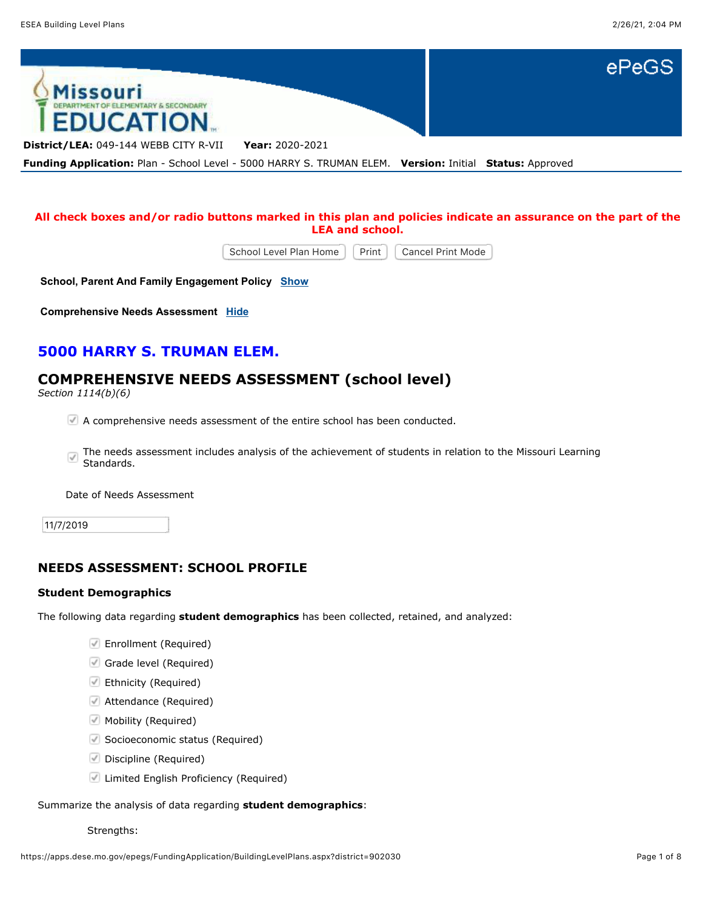

## **All check boxes and/or radio buttons marked in this plan and policies indicate an assurance on the part of the LEA and school.**

School Level Plan Home | Print | Cancel Print Mode

**School, Parent And Family Engagement Policy [Show](javascript:__doPostBack()**

**Comprehensive Needs Assessment [Hide](javascript:__doPostBack()**

# **5000 HARRY S. TRUMAN ELEM.**

# **COMPREHENSIVE NEEDS ASSESSMENT (school level)**

*Section 1114(b)(6)*

A comprehensive needs assessment of the entire school has been conducted.

The needs assessment includes analysis of the achievement of students in relation to the Missouri Learning  $\sqrt{ }$ Standards.

Date of Needs Assessment

11/7/2019

## **NEEDS ASSESSMENT: SCHOOL PROFILE**

## **Student Demographics**

The following data regarding **student demographics** has been collected, retained, and analyzed:

- Enrollment (Required)
- Grade level (Required)
- Ethnicity (Required)
- Attendance (Required)
- **Mobility (Required)**
- Socioeconomic status (Required)
- Discipline (Required)
- **Limited English Proficiency (Required)**

### Summarize the analysis of data regarding **student demographics**:

Strengths: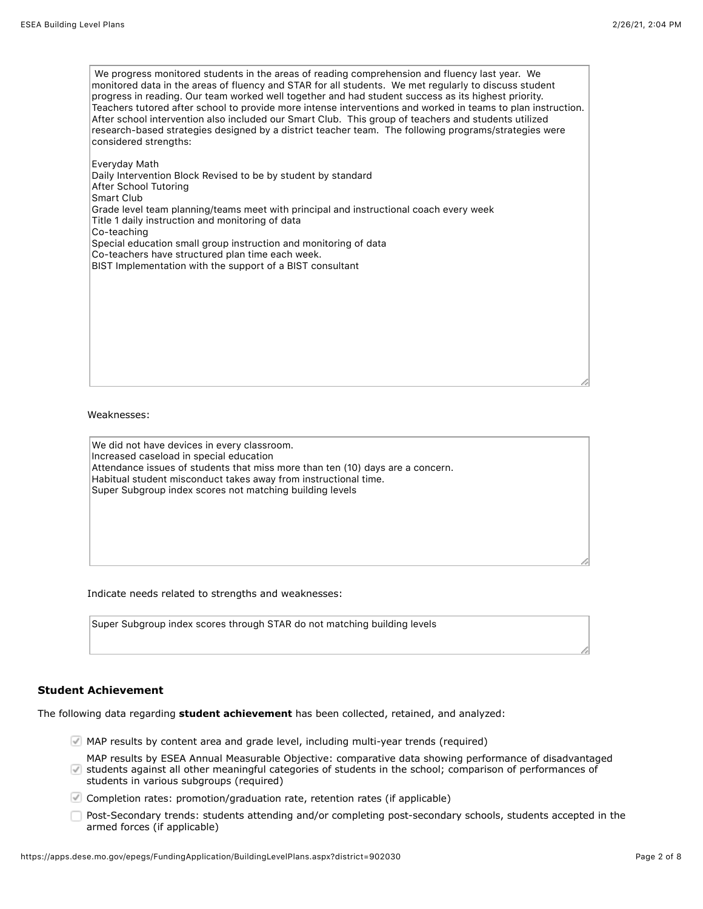We progress monitored students in the areas of reading comprehension and fluency last year. We monitored data in the areas of fluency and STAR for all students. We met regularly to discuss student progress in reading. Our team worked well together and had student success as its highest priority. Teachers tutored after school to provide more intense interventions and worked in teams to plan instruction. After school intervention also included our Smart Club. This group of teachers and students utilized research-based strategies designed by a district teacher team. The following programs/strategies were considered strengths:

Everyday Math Daily Intervention Block Revised to be by student by standard After School Tutoring Smart Club Grade level team planning/teams meet with principal and instructional coach every week Title 1 daily instruction and monitoring of data Co-teaching Special education small group instruction and monitoring of data Co-teachers have structured plan time each week. BIST Implementation with the support of a BIST consultant

Weaknesses:

We did not have devices in every classroom. Increased caseload in special education Attendance issues of students that miss more than ten (10) days are a concern. Habitual student misconduct takes away from instructional time. Super Subgroup index scores not matching building levels

Indicate needs related to strengths and weaknesses:

Super Subgroup index scores through STAR do not matching building levels

## **Student Achievement**

The following data regarding **student achievement** has been collected, retained, and analyzed:

- MAP results by content area and grade level, including multi-year trends (required)
- MAP results by ESEA Annual Measurable Objective: comparative data showing performance of disadvantaged students against all other meaningful categories of students in the school; comparison of performances of students in various subgroups (required)
- Completion rates: promotion/graduation rate, retention rates (if applicable)
- Post-Secondary trends: students attending and/or completing post-secondary schools, students accepted in the armed forces (if applicable)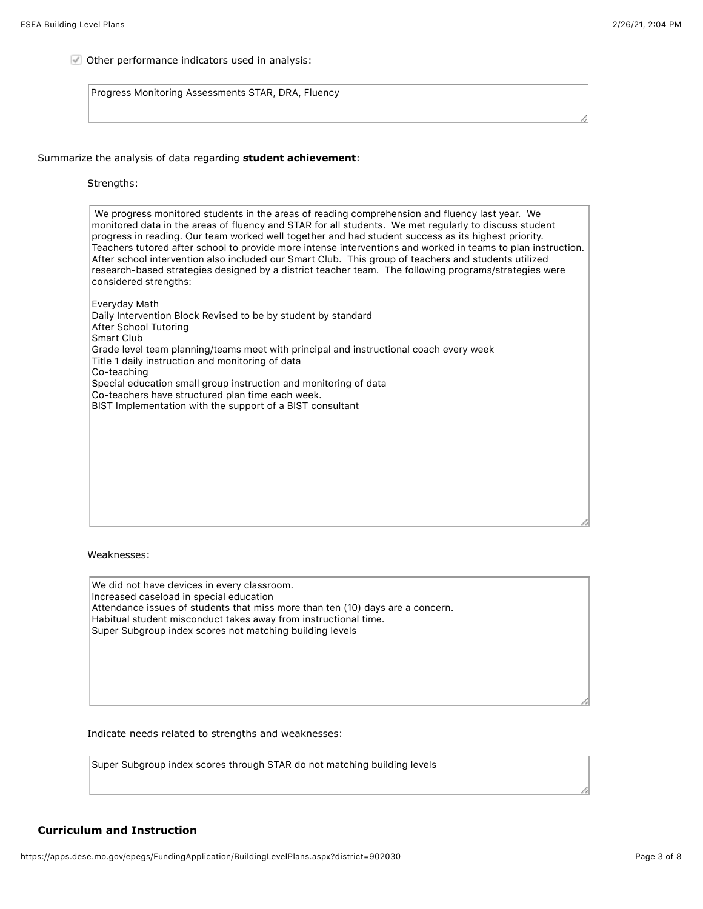Other performance indicators used in analysis:

Progress Monitoring Assessments STAR, DRA, Fluency

Summarize the analysis of data regarding **student achievement**:

#### Strengths:

 We progress monitored students in the areas of reading comprehension and fluency last year. We monitored data in the areas of fluency and STAR for all students. We met regularly to discuss student progress in reading. Our team worked well together and had student success as its highest priority. Teachers tutored after school to provide more intense interventions and worked in teams to plan instruction. After school intervention also included our Smart Club. This group of teachers and students utilized research-based strategies designed by a district teacher team. The following programs/strategies were considered strengths:

Everyday Math Daily Intervention Block Revised to be by student by standard After School Tutoring Smart Club Grade level team planning/teams meet with principal and instructional coach every week Title 1 daily instruction and monitoring of data Co-teaching Special education small group instruction and monitoring of data Co-teachers have structured plan time each week. BIST Implementation with the support of a BIST consultant

Weaknesses:

We did not have devices in every classroom. Increased caseload in special education Attendance issues of students that miss more than ten (10) days are a concern. Habitual student misconduct takes away from instructional time. Super Subgroup index scores not matching building levels

Indicate needs related to strengths and weaknesses:

Super Subgroup index scores through STAR do not matching building levels

## **Curriculum and Instruction**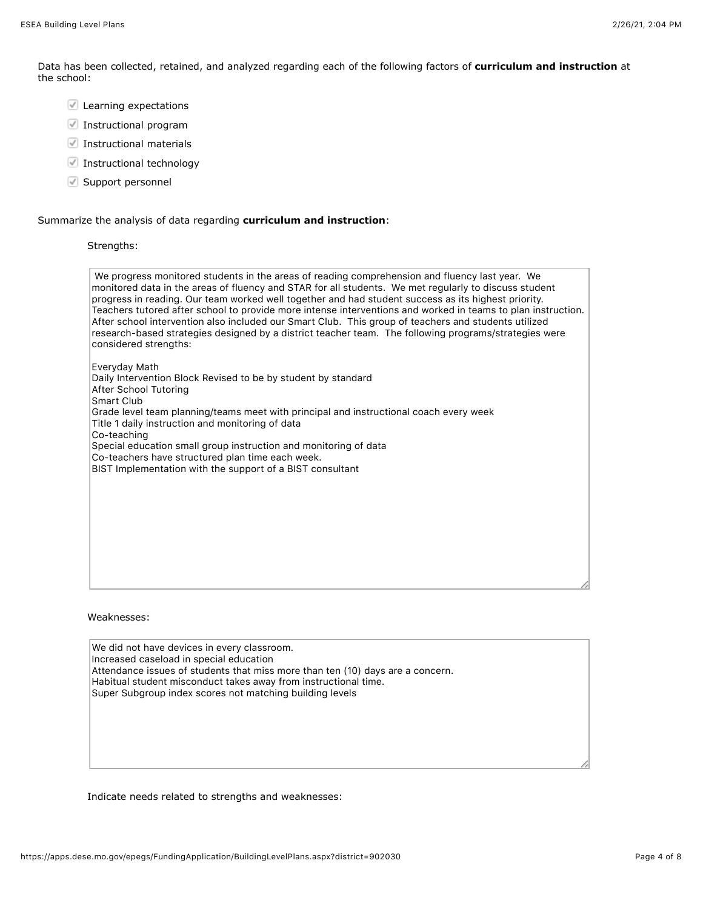Data has been collected, retained, and analyzed regarding each of the following factors of **curriculum and instruction** at the school:

- Learning expectations
- Instructional program
- Instructional materials
- $\blacksquare$  Instructional technology
- Support personnel

### Summarize the analysis of data regarding **curriculum and instruction**:

## Strengths:

| We progress monitored students in the areas of reading comprehension and fluency last year. We<br>monitored data in the areas of fluency and STAR for all students. We met regularly to discuss student<br>progress in reading. Our team worked well together and had student success as its highest priority.                                                                                             |
|------------------------------------------------------------------------------------------------------------------------------------------------------------------------------------------------------------------------------------------------------------------------------------------------------------------------------------------------------------------------------------------------------------|
| Teachers tutored after school to provide more intense interventions and worked in teams to plan instruction.<br>After school intervention also included our Smart Club. This group of teachers and students utilized<br>research-based strategies designed by a district teacher team. The following programs/strategies were<br>considered strengths:                                                     |
| Everyday Math<br>Daily Intervention Block Revised to be by student by standard<br>After School Tutoring<br>Smart Club<br>Grade level team planning/teams meet with principal and instructional coach every week<br>Title 1 daily instruction and monitoring of data<br>Co-teaching<br>Special education small group instruction and monitoring of data<br>Co-teachers have structured plan time each week. |
| BIST Implementation with the support of a BIST consultant                                                                                                                                                                                                                                                                                                                                                  |

### Weaknesses:

We did not have devices in every classroom. Increased caseload in special education Attendance issues of students that miss more than ten (10) days are a concern. Habitual student misconduct takes away from instructional time. Super Subgroup index scores not matching building levels

Indicate needs related to strengths and weaknesses: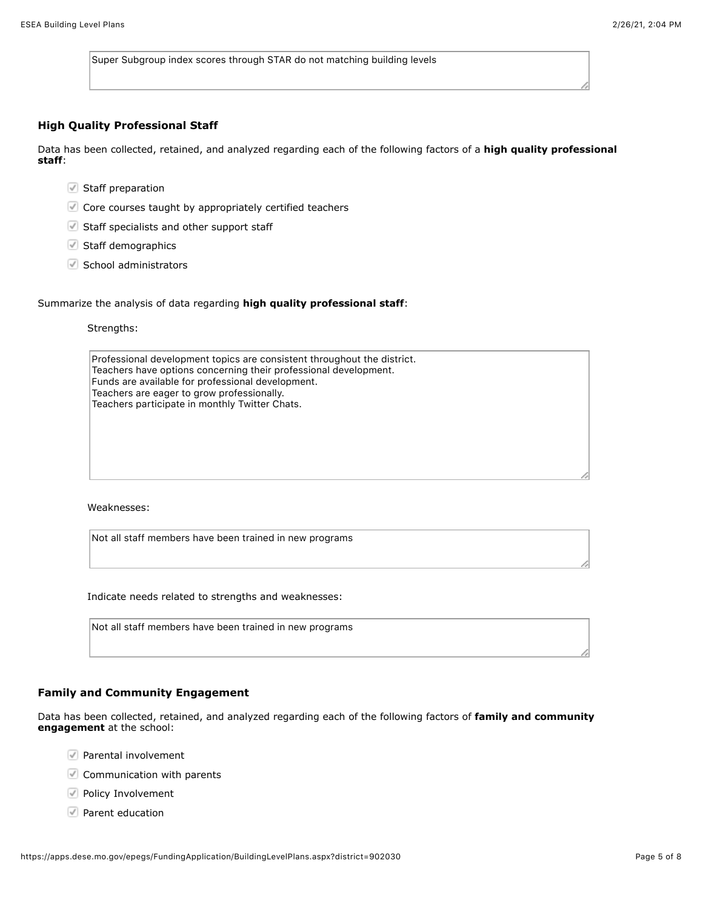Super Subgroup index scores through STAR do not matching building levels

### **High Quality Professional Staff**

Data has been collected, retained, and analyzed regarding each of the following factors of a **high quality professional staff**:

- Staff preparation
- Core courses taught by appropriately certified teachers
- Staff specialists and other support staff
- Staff demographics
- $\heartsuit$  School administrators

#### Summarize the analysis of data regarding **high quality professional staff**:

### Strengths:

Professional development topics are consistent throughout the district. Teachers have options concerning their professional development. Funds are available for professional development. Teachers are eager to grow professionally. Teachers participate in monthly Twitter Chats.

Weaknesses:

Not all staff members have been trained in new programs

Indicate needs related to strengths and weaknesses:

| Not all staff members have been trained in new programs |  |  |  |
|---------------------------------------------------------|--|--|--|
|---------------------------------------------------------|--|--|--|

### **Family and Community Engagement**

Data has been collected, retained, and analyzed regarding each of the following factors of **family and community engagement** at the school:

- $\sqrt{ }$  Parental involvement
- Communication with parents
- $\blacktriangleright$  Policy Involvement
- **Parent education**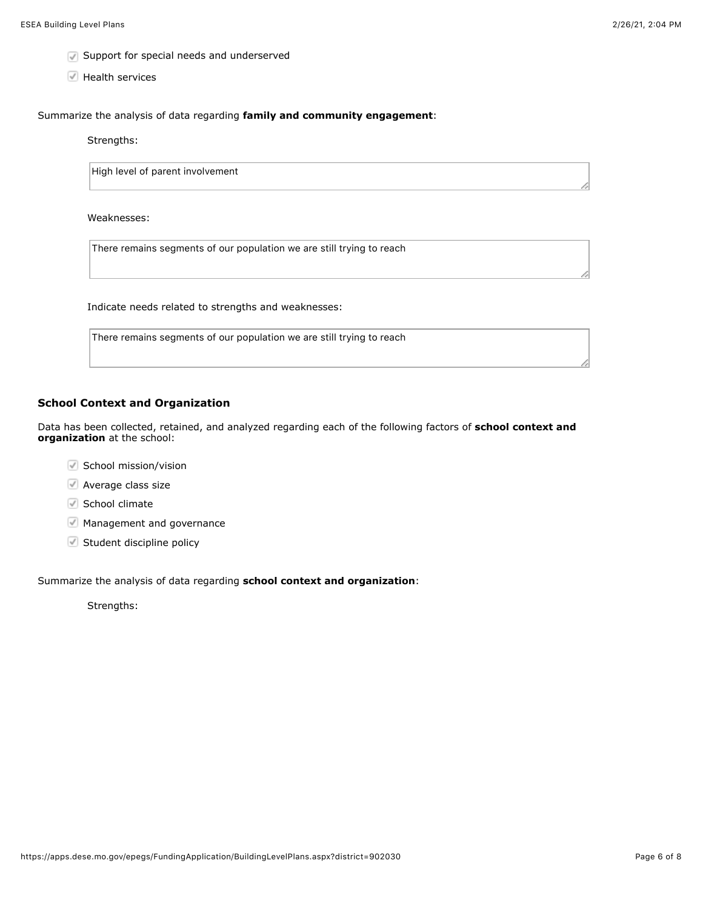- **Support for special needs and underserved**
- Health services

Summarize the analysis of data regarding **family and community engagement**:

Strengths:

High level of parent involvement

Weaknesses:

There remains segments of our population we are still trying to reach

Indicate needs related to strengths and weaknesses:

There remains segments of our population we are still trying to reach

## **School Context and Organization**

Data has been collected, retained, and analyzed regarding each of the following factors of **school context and organization** at the school:

- $\blacktriangleright$  School mission/vision
- Average class size
- $\blacksquare$  School climate
- Management and governance
- $\blacktriangleright$  Student discipline policy

Summarize the analysis of data regarding **school context and organization**:

Strengths: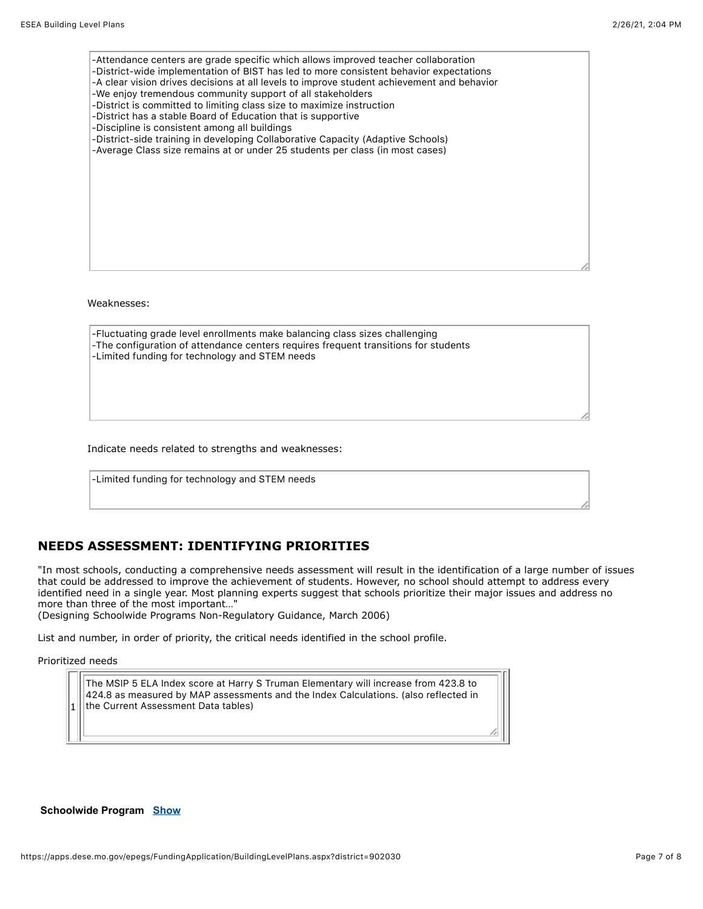| -Attendance centers are grade specific which allows improved teacher collaboration<br>-District-wide implementation of BIST has led to more consistent behavior expectations<br>-A clear vision drives decisions at all levels to improve student achievement and behavior<br>-We enjoy tremendous community support of all stakeholders<br>-District is committed to limiting class size to maximize instruction<br>-District has a stable Board of Education that is supportive<br>-Discipline is consistent among all buildings<br>-District-side training in developing Collaborative Capacity (Adaptive Schools)<br>-Average Class size remains at or under 25 students per class (in most cases) |  |
|--------------------------------------------------------------------------------------------------------------------------------------------------------------------------------------------------------------------------------------------------------------------------------------------------------------------------------------------------------------------------------------------------------------------------------------------------------------------------------------------------------------------------------------------------------------------------------------------------------------------------------------------------------------------------------------------------------|--|
|                                                                                                                                                                                                                                                                                                                                                                                                                                                                                                                                                                                                                                                                                                        |  |

Weaknesses:

| -Fluctuating grade level enrollments make balancing class sizes challenging         |  |
|-------------------------------------------------------------------------------------|--|
| -The configuration of attendance centers requires frequent transitions for students |  |
| -Limited funding for technology and STEM needs                                      |  |
|                                                                                     |  |
|                                                                                     |  |
|                                                                                     |  |

Indicate needs related to strengths and weaknesses:

-Limited funding for technology and STEM needs

# **NEEDS ASSESSMENT: IDENTIFYING PRIORITIES**

"In most schools, conducting a comprehensive needs assessment will result in the identification of a large number of issues that could be addressed to improve the achievement of students. However, no school should attempt to address every identified need in a single year. Most planning experts suggest that schools prioritize their major issues and address no more than three of the most important…"

(Designing Schoolwide Programs Non-Regulatory Guidance, March 2006)

List and number, in order of priority, the critical needs identified in the school profile.

Prioritized needs

1

The MSIP 5 ELA Index score at Harry S Truman Elementary will increase from 423.8 to 424.8 as measured by MAP assessments and the Index Calculations. (also reflected in the Current Assessment Data tables)

#### **Schoolwide Program [Show](javascript:__doPostBack()**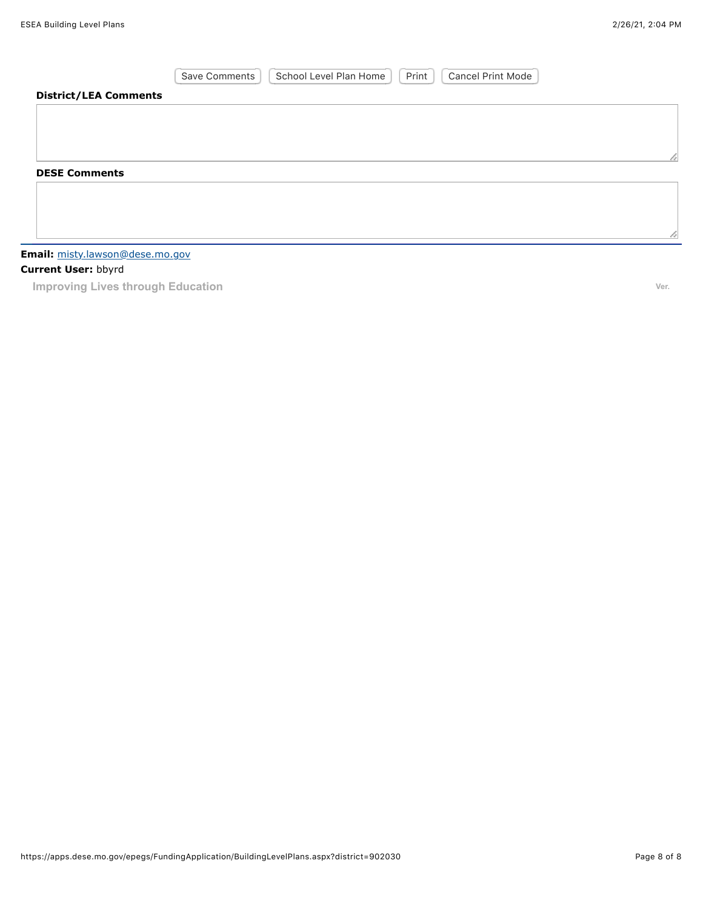|                              | School Level Plan Home<br>Print<br><b>Cancel Print Mode</b><br>Save Comments |  |
|------------------------------|------------------------------------------------------------------------------|--|
| <b>District/LEA Comments</b> |                                                                              |  |
|                              |                                                                              |  |
|                              |                                                                              |  |
|                              |                                                                              |  |
| <b>DESE Comments</b>         |                                                                              |  |
|                              |                                                                              |  |
|                              |                                                                              |  |
|                              |                                                                              |  |

## **Email:** [misty.lawson@dese.mo.gov](mailto:misty.lawson@dese.mo.gov)

## **Current User:** bbyrd

**Improving Lives through Education Ver. Ver. Ver. Ver. Ver. Ver. Ver. Ver. Ver. Ver.**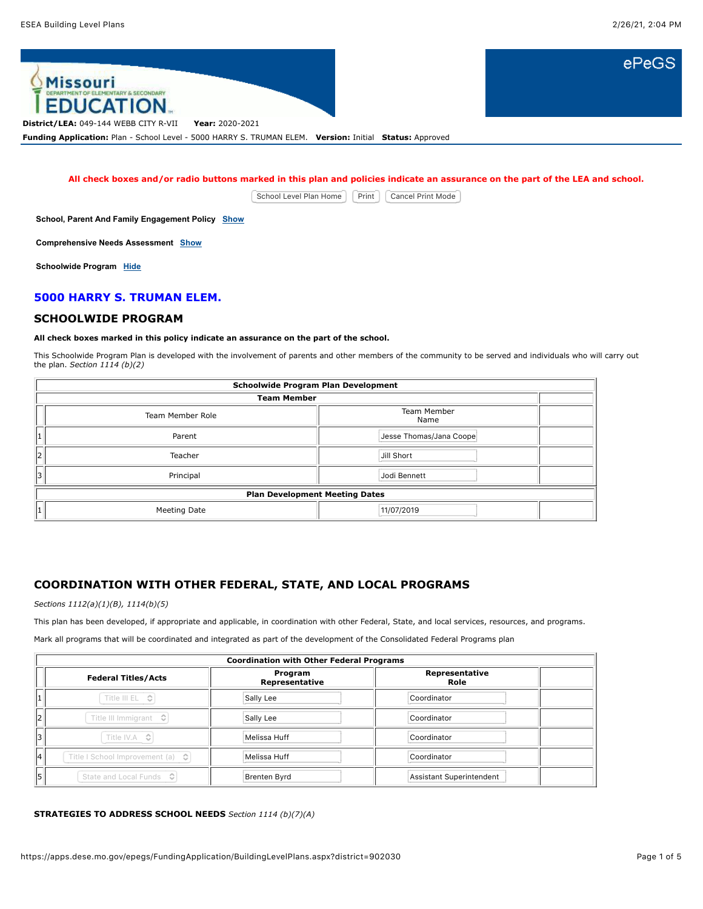ePeGS



**All check boxes and/or radio buttons marked in this plan and policies indicate an assurance on the part of the LEA and school.**

School Level Plan Home | Print | Cancel Print Mode

**School, Parent And Family Engagement Policy [Show](javascript:__doPostBack()**

**Comprehensive Needs Assessment [Show](javascript:__doPostBack()**

**Schoolwide Program [Hide](javascript:__doPostBack()**

## **5000 HARRY S. TRUMAN ELEM.**

#### **SCHOOLWIDE PROGRAM**

#### **All check boxes marked in this policy indicate an assurance on the part of the school.**

This Schoolwide Program Plan is developed with the involvement of parents and other members of the community to be served and individuals who will carry out the plan. *Section 1114 (b)(2)*

|   | <b>Schoolwide Program Plan Development</b> |                         |  |
|---|--------------------------------------------|-------------------------|--|
|   | <b>Team Member</b>                         |                         |  |
|   | <b>Team Member Role</b>                    | Team Member<br>Name     |  |
| 1 | Parent                                     | Jesse Thomas/Jana Coope |  |
| 2 | Teacher                                    | Jill Short              |  |
| 3 | Principal                                  | Jodi Bennett            |  |
|   | <b>Plan Development Meeting Dates</b>      |                         |  |
| 1 | Meeting Date                               | 11/07/2019              |  |

## **COORDINATION WITH OTHER FEDERAL, STATE, AND LOCAL PROGRAMS**

*Sections 1112(a)(1)(B), 1114(b)(5)*

This plan has been developed, if appropriate and applicable, in coordination with other Federal, State, and local services, resources, and programs.

Mark all programs that will be coordinated and integrated as part of the development of the Consolidated Federal Programs plan

|    | <b>Coordination with Other Federal Programs</b>         |                                                     |                          |  |
|----|---------------------------------------------------------|-----------------------------------------------------|--------------------------|--|
|    | <b>Federal Titles/Acts</b>                              | Representative<br>Program<br>Representative<br>Role |                          |  |
|    | Title III EL<br>G                                       | Sally Lee<br>Coordinator                            |                          |  |
| 12 | Title III Immigrant $\hat{\heartsuit}$                  | Sally Lee                                           | Coordinator              |  |
| 13 | Title IV.A ↓                                            | Melissa Huff                                        | Coordinator              |  |
| 14 | Title I School Improvement (a) $\left\  \cdot \right\ $ | Melissa Huff                                        | Coordinator              |  |
| 5  | State and Local Funds $\Diamond$                        | Brenten Byrd                                        | Assistant Superintendent |  |

#### **STRATEGIES TO ADDRESS SCHOOL NEEDS** *Section 1114 (b)(7)(A)*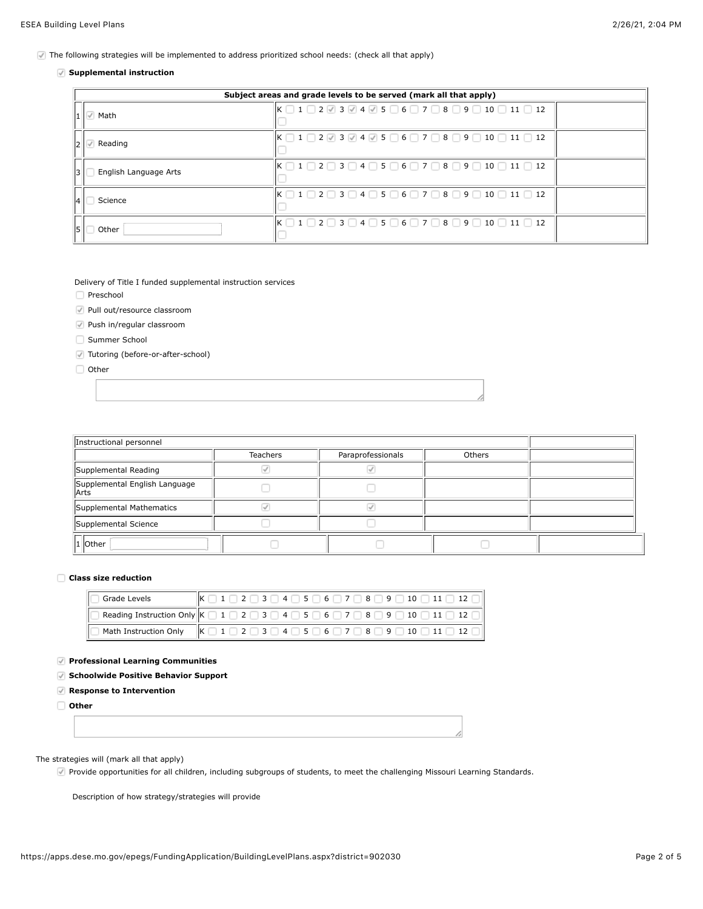The following strategies will be implemented to address prioritized school needs: (check all that apply)

#### **Supplemental instruction**

|    | Subject areas and grade levels to be served (mark all that apply) |                                                                                                                                         |  |
|----|-------------------------------------------------------------------|-----------------------------------------------------------------------------------------------------------------------------------------|--|
|    | Math                                                              | $K \square 1 \square 2 \vee 3 \vee 4 \vee 5 \square 6 \square 7 \square 8 \square 9 \square 10 \square 11 \square 12$                   |  |
|    | Reading                                                           | $K \bigcap 1 \bigcap 2 \bigotimes 3 \bigotimes 4 \bigotimes 5 \bigcap 6 \bigcap 7 \bigcap 8 \bigcap 9 \bigcap 10 \bigcap 11 \bigcap 12$ |  |
| 13 | English Language Arts                                             | $K \cap 1 \cap 2 \cap 3 \cap 4 \cap 5 \cap 6 \cap 7 \cap 8 \cap 9 \cap 10 \cap 11 \cap 12$                                              |  |
| 14 | Science                                                           | $K \bigcap 1 \bigcap 2 \bigcap 3 \bigcap 4 \bigcap 5 \bigcap 6 \bigcap 7 \bigcap 8 \bigcap 9 \bigcap 10 \bigcap 11 \bigcap 12$          |  |
| 15 | Other                                                             | $K \bigcap 1 \bigcap 2 \bigcap 3 \bigcap 4 \bigcap 5 \bigcap 6 \bigcap 7 \bigcap 8 \bigcap 9 \bigcap 10 \bigcap 11 \bigcap 12$          |  |

Delivery of Title I funded supplemental instruction services

Preschool

Pull out/resource classroom

Push in/regular classroom

Summer School

Tutoring (before-or-after-school)

Other

| Instructional personnel               |                 |                   |        |  |
|---------------------------------------|-----------------|-------------------|--------|--|
|                                       | <b>Teachers</b> | Paraprofessionals | Others |  |
| Supplemental Reading                  |                 |                   |        |  |
| Supplemental English Language<br>Arts |                 |                   |        |  |
| Supplemental Mathematics              |                 |                   |        |  |
| Supplemental Science                  |                 |                   |        |  |
| 1 Other                               |                 |                   |        |  |

#### **Class size reduction**

| Grade Levels | $\vert K \Box 1 \Box 2 \Box 3 \Box 4 \Box 5 \Box 6 \Box 7 \Box 8 \Box 9 \Box 10 \Box 11 \Box 12 \Box$                                                                     |
|--------------|---------------------------------------------------------------------------------------------------------------------------------------------------------------------------|
|              | ] Reading Instruction Only $\mathsf{K} \ \Box\ 1 \ \Box\ 2 \ \Box\ 3 \ \Box\ 4 \ \Box\ 5 \ \Box\ 6 \ \Box\ 7 \ \Box\ 8 \ \Box\ 9 \ \Box\ 10 \ \Box\ 11 \ \Box\ 12 \ \Box$ |
|              |                                                                                                                                                                           |

#### **Professional Learning Communities**

**Schoolwide Positive Behavior Support**

**Response to Intervention**

**Other**

## The strategies will (mark all that apply)

Provide opportunities for all children, including subgroups of students, to meet the challenging Missouri Learning Standards.

Description of how strategy/strategies will provide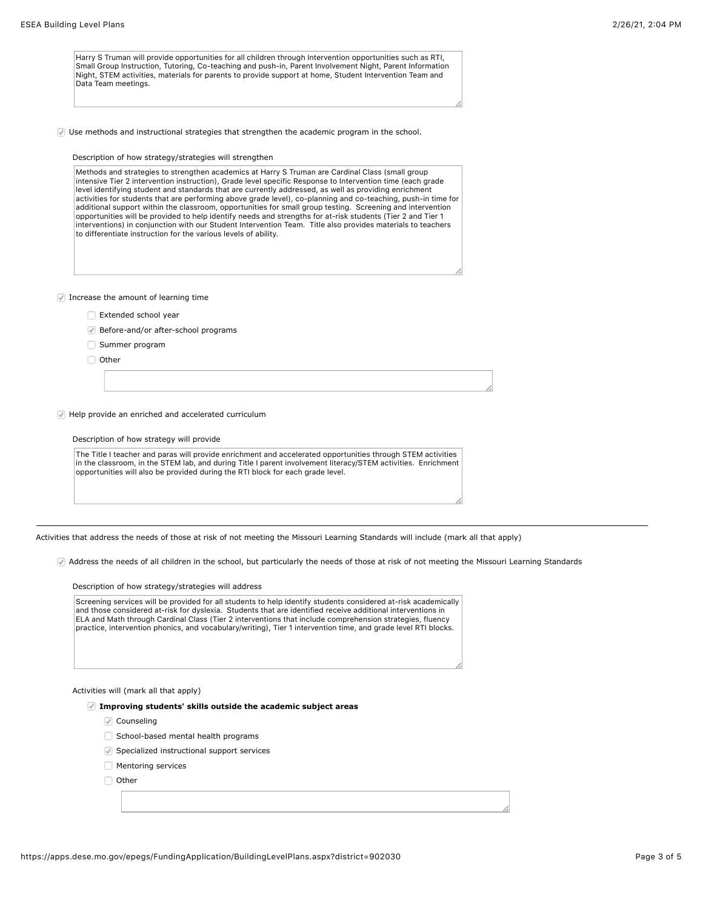Harry S Truman will provide opportunities for all children through Intervention opportunities such as RTI, Small Group Instruction, Tutoring, Co-teaching and push-in, Parent Involvement Night, Parent Information Night, STEM activities, materials for parents to provide support at home, Student Intervention Team and Data Team meetings.

Use methods and instructional strategies that strengthen the academic program in the school.

#### Description of how strategy/strategies will strengthen

Methods and strategies to strengthen academics at Harry S Truman are Cardinal Class (small group intensive Tier 2 intervention instruction), Grade level specific Response to Intervention time (each grade level identifying student and standards that are currently addressed, as well as providing enrichment activities for students that are performing above grade level), co-planning and co-teaching, push-in time for additional support within the classroom, opportunities for small group testing. Screening and intervention opportunities will be provided to help identify needs and strengths for at-risk students (Tier 2 and Tier 1 interventions) in conjunction with our Student Intervention Team. Title also provides materials to teachers to differentiate instruction for the various levels of ability.

 $\blacksquare$  Increase the amount of learning time

- Extended school year
- Before-and/or after-school programs
- Summer program
- □ Other

Help provide an enriched and accelerated curriculum

#### Description of how strategy will provide

The Title I teacher and paras will provide enrichment and accelerated opportunities through STEM activities in the classroom, in the STEM lab, and during Title I parent involvement literacy/STEM activities. Enrichment opportunities will also be provided during the RTI block for each grade level.

Activities that address the needs of those at risk of not meeting the Missouri Learning Standards will include (mark all that apply)

Address the needs of all children in the school, but particularly the needs of those at risk of not meeting the Missouri Learning Standards

Description of how strategy/strategies will address

Screening services will be provided for all students to help identify students considered at-risk academically and those considered at-risk for dyslexia. Students that are identified receive additional interventions in ELA and Math through Cardinal Class (Tier 2 interventions that include comprehension strategies, fluency practice, intervention phonics, and vocabulary/writing), Tier 1 intervention time, and grade level RTI blocks.

Activities will (mark all that apply)

**Improving students' skills outside the academic subject areas**

- Counseling
- School-based mental health programs
- Specialized instructional support services
- **Mentoring services**
- Other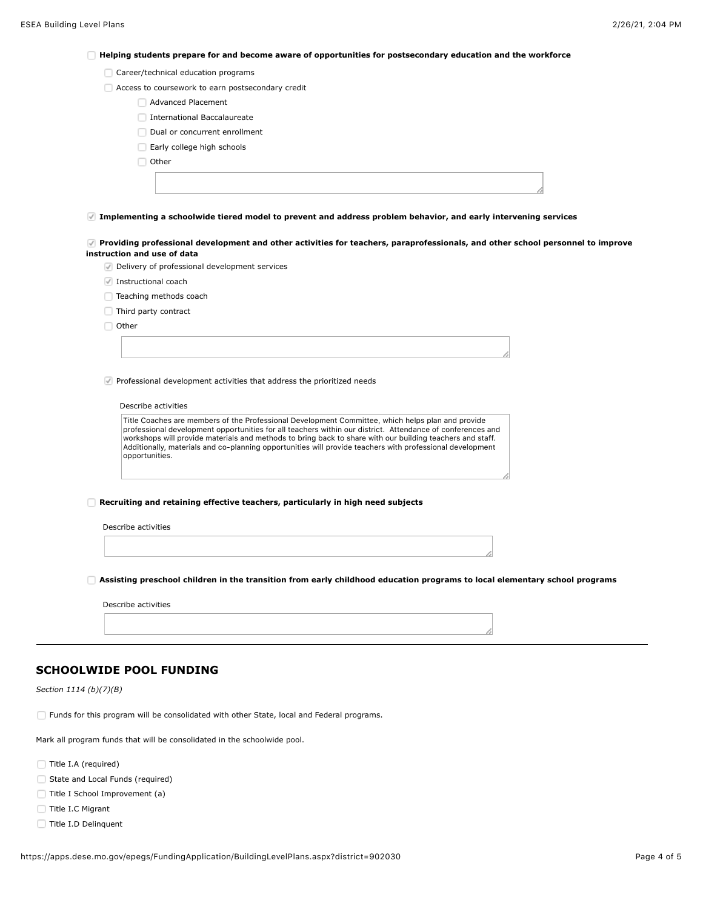**Helping students prepare for and become aware of opportunities for postsecondary education and the workforce**

|  | Career/technical education programs |  |
|--|-------------------------------------|--|
|  |                                     |  |

- Access to coursework to earn postsecondary credit
	- Advanced Placement
	- **International Baccalaureate**
	- Dual or concurrent enrollment
	- Early college high schools
	- $\Box$  Other

**Implementing a schoolwide tiered model to prevent and address problem behavior, and early intervening services**

**Providing professional development and other activities for teachers, paraprofessionals, and other school personnel to improve instruction and use of data**

Delivery of professional development services

- Instructional coach
- □ Teaching methods coach
- Third party contract

Other

 $\vee$  Professional development activities that address the prioritized needs

#### Describe activities

Title Coaches are members of the Professional Development Committee, which helps plan and provide professional development opportunities for all teachers within our district. Attendance of conferences and workshops will provide materials and methods to bring back to share with our building teachers and staff. Additionally, materials and co-planning opportunities will provide teachers with professional development opportunities.

**Recruiting and retaining effective teachers, particularly in high need subjects**

Describe activities

**Assisting preschool children in the transition from early childhood education programs to local elementary school programs**

Describe activities

#### **SCHOOLWIDE POOL FUNDING**

*Section 1114 (b)(7)(B)*

Funds for this program will be consolidated with other State, local and Federal programs.

Mark all program funds that will be consolidated in the schoolwide pool.

- Title I.A (required)
- State and Local Funds (required)
- Title I School Improvement (a)
- Title I.C Migrant
- Title I.D Delinquent